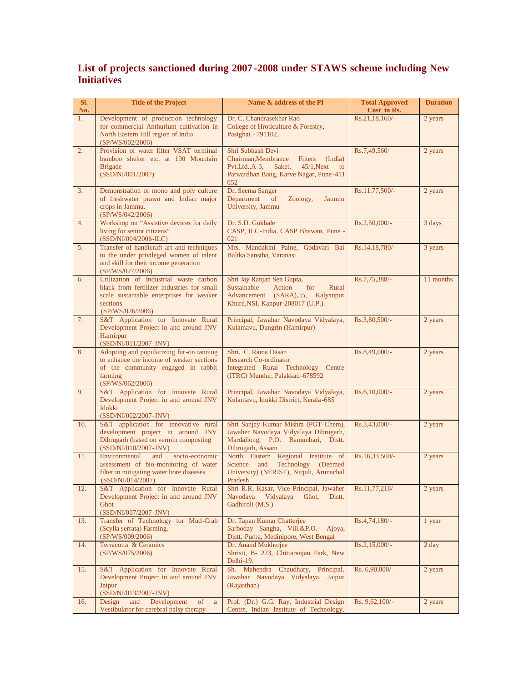## **List of projects sanctioned during 2007 -2008 under STAWS scheme including New Initiatives**

| SI.<br>No. | <b>Title of the Project</b>                                                                                                                                      | Name & address of the PI                                                                                                                                                         | <b>Total Approved</b><br>Cost in Rs. | <b>Duration</b> |
|------------|------------------------------------------------------------------------------------------------------------------------------------------------------------------|----------------------------------------------------------------------------------------------------------------------------------------------------------------------------------|--------------------------------------|-----------------|
| 1.         | Development of production technology<br>for commercial Anthurium cultivation in<br>North Eastern Hill region of India<br>(SP/WS/002/2006)                        | Dr. C. Chandrasekhar Rao<br>College of Hroticulture & Forestry,<br>Pasighat - 791102,                                                                                            | Rs.21,18,160/-                       | 2 years         |
| 2.         | Provision of water filter VSAT terminal<br>bamboo shelter etc. at 190 Mountain<br><b>Brigade</b><br>(SSD/NI/001/2007)                                            | Shri Subhash Devi<br>Chairman, Membrance<br>Filters<br>(India)<br>$Pvt.Ltd., A-3,$<br>Saket,<br>$45/1$ , Next<br>$\overline{a}$<br>Patwardhan Baug, Karve Nagar, Pune-411<br>052 | Rs.7,49,560/                         | 2 years         |
| 3.         | Demonstration of mono and poly culture<br>of freshwater prawn and Indian major<br>crops in Jammu.<br>(SP/WS/042/2006)                                            | Dr. Seema Sanger<br>Department of<br>Zoology,<br>Jammu<br>University, Jammu                                                                                                      | $Rs.11,77,500/-$                     | 2 years         |
| 4.         | Workshop on "Assistive devices for daily<br>living for senior citizens"<br>(SSD/NI/004/2006-ILC)                                                                 | Dr. S.D. Gokhale<br>CASP, ILC-India, CASP Bhawan, Pune -<br>021                                                                                                                  | Rs.2,50,000/-                        | 3 days          |
| 5.         | Transfer of handicraft art and techniques<br>to the under privileged women of talent<br>and skill for their income generation<br>(SP/WS/027/2006)                | Mrs. Mandakini Palne, Godavari Bai<br>Balika Sanstha, Varanasi                                                                                                                   | Rs.14,18,780/-                       | 3 years         |
| 6.         | Utilization of Industrial waste carbon<br>black from fertilizer industries for small<br>scale sustainable enterprises for weaker<br>sections<br>(SP/WS/026/2006) | Shri Jay Ranjan Sen Gupta,<br>for<br>Sustainable<br>Action<br>Rural<br>Advancement (SARA), 55, Kalyanpur<br>Khurd, NSI, Kanpur-208017 (U.P.).                                    | Rs.7,75,388/-                        | 11 months       |
| 7.         | S&T Application for Innovate Rural<br>Development Project in and around JNV<br>Hamirpur<br>(SSD/NI/011/2007-JNV)                                                 | Principal, Jawahar Navodaya Vidyalaya,<br>Kulamavu, Dungrin (Hamirpur)                                                                                                           | Rs.3,80,500/-                        | 2 years         |
| 8.         | Adopting and popularizing fur-on tanning<br>to enhance the income of weaker sections<br>of the community engaged in rabbit<br>farming<br>(SP/WS/062/2006)        | Shri. C. Rama Dasan<br><b>Research Co-ordinator</b><br>Integrated Rural Technology Centre<br>(ITRC) Mundur, Palakkad-678592                                                      | Rs.8,49,000/-                        | 2 years         |
| 9.         | S&T Application for Innovate Rural<br>Development Project in and around JNV<br>Idukki<br>(SSD/NI/002/2007-JNV)                                                   | Principal, Jawahar Navodaya Vidyalaya,<br>Kulamavu, Idukki District, Kerala-685                                                                                                  | $Rs.6,10,000/-$                      | 2 years         |
| 10.        | S&T application for innovative rural<br>development project in around JNV<br>Dibrugarh (based on vermin composting<br>(SSD/NI/010/2007-JNV)                      | Shri Sanjay Kumar Mishra (PGT-Chem),<br>Jawaher Navodaya Vidyalaya Dibrugarh,<br>Mardallong, P.O. Bamunbari, Distt.<br>Dibrugarh, Assam                                          | Rs.3,43,000/-                        | 2 years         |
| 11.        | Environmental<br>and<br>socio-economic<br>assessment of bio-monitoring of water<br>filter in mitigating water bore diseases<br>(SSD/NI/014/2007)                 | North Eastern Regional Institute of<br>Technology<br>Science and<br>(Deemed)<br>University) (NERIST), Nirjuli, Arunachal<br>Pradesh                                              | Rs.16,33,500/-                       | 2 years         |
| 12.        | S&T Application for Innovate Rural<br>Development Project in and around JNV<br>Ghot<br>(SSD/NI/007/2007-JNV)                                                     | Shri R.R. Kasar, Vice Principal, Jawaher<br>Navodaya<br>Vidyalaya<br>Ghot,<br>Distt.<br>Gadhiroli (M.S.)                                                                         | $Rs.11,77,218/-$                     | 2 years         |
| 13.        | Transfer of Technology for Mud-Crab<br>(Scylla serrata) Farming.<br>(SP/WS/009/2006)                                                                             | Dr. Tapan Kumar Chatterjee<br>Sarboday Sangha, Vill.&P.O.- Ajoya,<br>Distt.-Purba, Medinipore, West Bengal                                                                       | Rs.4,74,180/-                        | 1 year          |
| 14.        | Terracotta & Ceramics<br>(SP/WS/075/2006)                                                                                                                        | Dr. Anand Mukherjee<br>Shristi, B- 223, Chittaranjan Park, New<br>Delhi-19.                                                                                                      | $Rs.2,15,000/-$                      | $2 \text{ day}$ |
| 15.        | S&T Application for Innovate Rural<br>Development Project in and around JNV<br>Jaipur<br>(SSD/NI/013/2007-JNV)                                                   | Sh. Mahendra Chaudhary, Principal,<br>Jawahar Navodaya Vidyalaya, Jaipur<br>(Rajasthan)                                                                                          | Rs. 6,90,000/-                       | 2 years         |
| 16.        | Design<br>Development<br>of<br>and<br>$\mathbf{a}$<br>Vestibulator for cerebral palsy therapy                                                                    | Prof. (Dr.) G.G. Ray, Industrial Design<br>Centre, Indian Institute of Technology,                                                                                               | Rs. 9,62,100/-                       | 2 years         |